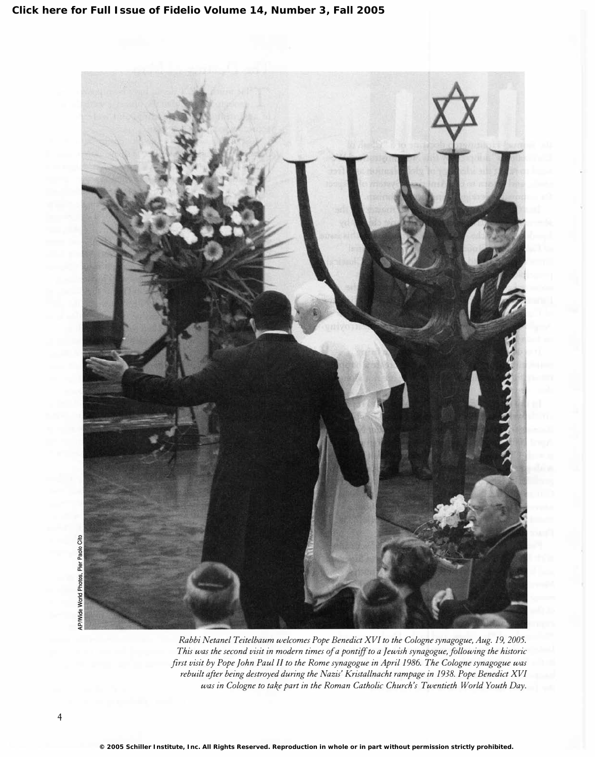

Rabbi Netanel Teitelbaum welcomes Pope Benedict XVI to the Cologne synagogue, Aug. 19, 2005. This was the second visit in modern times of a pontiff to a Jewish synagogue, following the historic first visit by Pope John Paul II to the Rome synagogue in April 1986. The Cologne synagogue was rebuilt after being destroyed during the Nazis' Kristallnacht rampage in 1938. Pope Benedict XVI was in Cologne to take part in the Roman Catholic Church's Twentieth World Youth Day.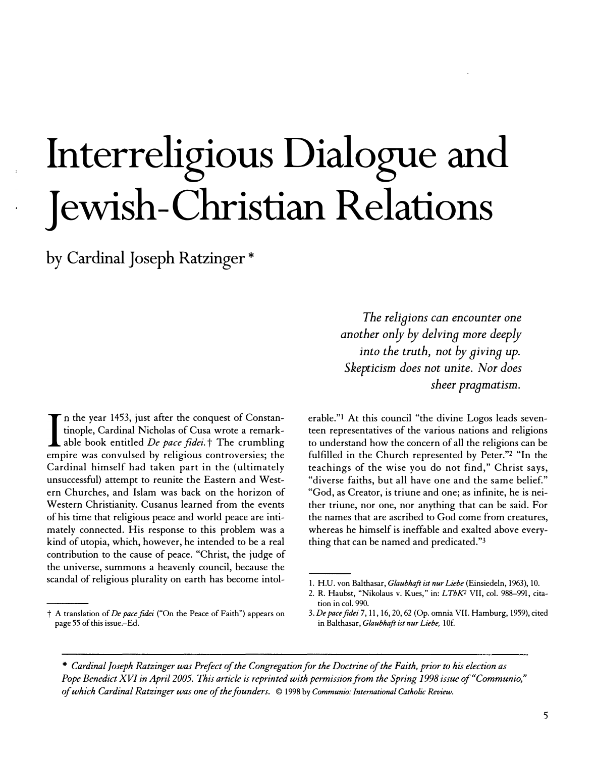# Interreligious Dialogue and Jewish-Christian Relations

by Cardinal Joseph Ratzinger \*

I n the year 1453, just after the conquest of Constantinople, Cardinal Nicholas of Cusa wrote a remarkable book entitled *De pace fidei*.<sup> $\dagger$ </sup> The crumbling empire was convulsed by religious controversies; the Cardinal himself had taken part in the (ultimately unsuccessful) attempt to reunite the Eastern and Western Churches, and Islam was back on the horizon of Western Christianity. Cusanus learned from the events of his time that religious peace and world peace are intimately connected. His response to this problem was a kind of utopia, which, however, he intended to be a real contribution to the cause of peace. "Christ, the judge of the universe, summons a heavenly council, because the scandal of religious plurality on earth has become intol-

t A translation of De pace fidei ("On the Peace of Faith") appears on page 55 of this issue.-Ed.

The religions can encounter one another only by delving more deeply into the truth, not by giving up. Skepticism does not unite. Nor does sheer pragmatism.

erable."l At this council "the divine Logos leads seventeen representatives of the various nations and religions to understand how the concern of all the religions can be fulfilled in the Church represented by Peter."2 "In the teachings of the wise you do not find," Christ says, "diverse faiths, but all have one and the same belief." "God, as Creator, is triune and one; as infinite, he is neither triune, nor one, nor anything that can be said. For the names that are ascribed to God come from creatures, whereas he himself is ineffable and exalted above everything that can be named and predicated."3

\* Cardinal Joseph Ratzinger was Prefect of the Congregation for the Doctrine of the Faith, prior to his election as Pope Benedict XVI in April 2005. This article is reprinted with permission from the Spring 1998 issue of"Communio," of which Cardinal Ratzinger was one of the founders. © 1998 by Communio: International Catholic Review.

<sup>1.</sup> H.U. von Balthasar, Glaubhaft ist nur Liebe (Einsiedeln, 1963), 10.

<sup>2.</sup> R. Haubst, "Nikolaus v. Kues," in: LTbK<sup>2</sup> VII, col. 988-991, citation in col. 990.

<sup>3.</sup> De pacefidei 7, 11, 16, 20, 62 (Op. omnia VII. Hamburg, 1959), cited in Balthasar, Glaubhaft ist nur Liebe, 10f.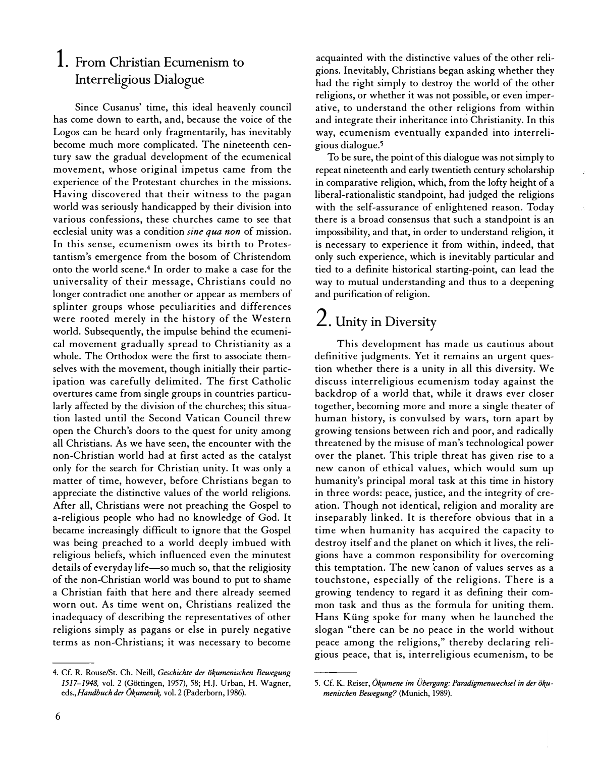#### 1. From Christian Ecumenism to Interreligious Dialogue

Since Cusanus' time, this ideal heavenly council has come down to earth, and, because the voice of the Logos can be heard only fragmentarily, has inevitably become much more complicated. The nineteenth century saw the gradual development of the ecumenical movement, whose original impetus came from the experience of the Protestant churches in the missions. Having discovered that their witness to the pagan world was seriously handicapped by their division into various confessions, these churches came to see that ecclesial unity was a condition sine qua non of mission. In this sense, ecumenism owes its birth to Protestantism's emergence from the bosom of Christendom onto the world scene.4 In order to make a case for the universality of their message, Christians could no longer contradict one another or appear as members of splinter groups whose peculiarities and differences were rooted merely in the history of the Western world. Subsequently, the impulse behind the ecumenical movement gradually spread to Christianity as a whole. The Orthodox were the first to associate themselves with the movement, though initially their participation was carefully delimited. The first Catholic overtures came from single groups in countries particularly affected by the division of the churches; this situation lasted until the Second Vatican Council threw open the Church's doors to the quest for unity among all Christians. As we have seen, the encounter with the non-Christian world had at first acted as the catalyst only for the search for Christian, unity. It was only a matter of time, however, before Christians began to appreciate the distinctive values of the world religions. After all, Christians were not preaching the Gospel to a-religious people who had no knowledge of God. It became increasingly difficult to ignore that the Gospel was being preached to a world deeply imbued with religious beliefs, which influenced even the minutest details of everyday life-so much so, that the religiosity of the non-Christian world was bound to put to shame a Christian faith that here and there already seemed worn out. As time went on, Christians realized the inadequacy of describing the representatives of other religions simply as pagans or else in purely negative terms as non-Christians; it was necessary to become

acquainted with the distinctive values of the other religions. Inevitably, Christians began asking whether they had the right simply to destroy the world of the other religions, or whether it was not possible, or even imperative, to understand the other religions from within and integrate their inheritance into Christianity. In this way, ecumenism eventually expanded into interreligious dialogue.<sup>5</sup>

To be sure, the point of this dialogue was not simply to repeat nineteenth and early twentieth century scholarship in comparative religion, which, from the lofty height of a liberal-rationalistic standpoint, had judged the religions with the self-assurance of enlightened reason. Today there is a broad consensus that such a standpoint is an impossibility, and that, in order to understand religion, it is necessary to experience it from within, indeed, that only such experience, which is inevitably particular and tied to a definite historical starting-point, can lead the way to mutual understanding and thus to a deepening and purification of religion.

## 2. Unity in Diversity

This development has made us cautious about definitive judgments. Yet it remains an urgent question whether there is a unity in all this diversity. We discuss interreligious ecumenism today against the backdrop of a world that, while it draws ever closer together, becoming more and more a single theater of human history, is convulsed by wars, torn apart by growing tensions between rich and poor, and radically threatened by the misuse of man's technological power over the planet. This triple threat has given rise to a new canon of ethical values, which would sum up humanity's principal moral task at this time in history in three words: peace, justice, and the integrity of creation. Though not identical, religion and morality are inseparably linked. It is therefore obvious that in a time when humanity has acquired the capacity to destroy itself and the planet on which it lives, the religions have a common responsibility for overcoming this temptation. The new canon of values serves as a touchstone, especially of the religions. There is a growing tendency to regard it as defining their common task and thus as the formula for uniting them. Hans Küng spoke for many when he launched the slogan "there can be no peace in the world without peace among the religions," thereby declaring religious peace, that is, interreligious ecumenism, to be

<sup>4.</sup> Cf. R. Rouse/St. Ch. Neill, Geschichte der ökumenischen Bewegung 1517-1948, vol. 2 (Göttingen, 1957), 58; H.J. Urban, H. Wagner, eds., Handbuch der Ökumenik, vol. 2 (Paderborn, 1986).

<sup>5.</sup> Cf. K. Reiser, Ökumene im Übergang: Paradigmenwechsel in der ökumenischen Bewegung? (Munich, 1989).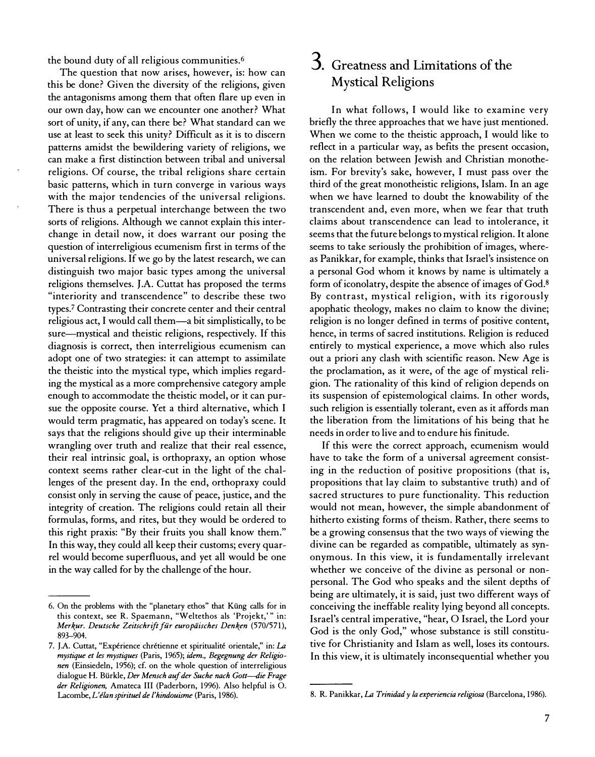the bound duty of all religious communities.6

The question that now arises, however, is: how can this be done? Given the diversity of the religions, given the antagonisms among them that often flare up even in our own day, how can we encounter one another? What sort of unity, if any, can there be? What standard can we use at least to seek this unity? Difficult as it is to discern patterns amidst the bewildering variety of religions, we can make a first distinction between tribal and universal religions. Of course, the tribal religions share certain basic patterns, which in turn converge in various ways with the major tendencies of the universal religions. There is thus a perpetual interchange between the two sorts of religions. Although we cannot explain this interchange in detail now, it does warrant our posing the question of interreligious ecumenism first in terms of the universal religions. If we go by the latest research, we can distinguish two major basic types among the universal religions themselves. J.A. Cuttat has proposed the terms "interiority and transcendence" to describe these two types? Contrasting their concrete center and their central religious act, I would call them-a bit simplistically, to be sure-mystical and theistic religions, respectively. If this diagnosis is correct, then interreligious ecumenism can adopt one of two strategies: it can attempt to assimilate the theistic into the mystical type, which implies regarding the mystical as a more comprehensive category ample enough to accommodate the theistic model, or it can pursue the opposite course. Yet a third alternative, which I would term pragmatic, has appeared on today's scene. It says that the religions should give up their interminable wrangling over truth and realize that their real essence, their real intrinsic goal, is orthopraxy, an option whose context seems rather clear-cut in the light of the challenges of the present day. In the end, orthopraxy could consist only in serving the cause of peace, justice, and the integrity of creation. The religions could retain all their formulas, forms, and rites, but they would be ordered to this right praxis: "By their fruits you shall know them." In this way, they could all keep their customs; every quarrel would become superfluous, and yet all would be one in the way called for by the challenge of the hour.

#### 3. Greatness and Limitations of the Mystical Religions

In what follows, I would like to examine very briefly the three approaches that we have just mentioned. When we come to the theistic approach, I would like to reflect in a particular way, as befits the present occasion, on the relation between Jewish and Christian monotheism. For brevity's sake, however, I must pass over the third of the great monotheistic religions, Islam. In an age when we have learned to doubt the knowability of the transcendent and, even more, when we fear that truth claims about transcendence can lead to intolerance, it seems that the future belongs to mystical religion. It alone seems to take seriously the prohibition of images, whereas Panikkar, for example, thinks that Israel's insistence on a personal God whom it knows by name is ultimately a form of iconolatry, despite the absence of images of God. 8 By contrast, mystical religion, with its rigorously apophatic theology, makes no claim to know the divine; religion is no longer defined in terms of positive content, hence, in terms of sacred institutions. Religion is reduced entirely to mystical experience, a move which also rules out a priori any clash with scientific reason. New Age is the proclamation, as it were, of the age of mystical religion. The rationality of this kind of religion depends on its suspension of epistemological claims. In other words, such religion is essentially tolerant, even as it affords man the liberation from the limitations of his being that he needs in order to live and to endure his finitude.

If this were the correct approach, ecumenism would have to take the form of a universal agreement consisting in the reduction of positive propositions (that is, propositions that lay claim to substantive truth) and of sacred structures to pure functionality. This reduction would not mean, however, the simple abandonment of hitherto existing forms of theism. Rather, there seems to be a growing consensus that the two ways of viewing the divine can be regarded as compatible, ultimately as synonymous. In this view, it is fundamentally irrelevant whether we conceive of the divine as personal or nonpersonal. The God who speaks and the silent depths of being are ultimately, it is said, just two different ways of conceiving the ineffable reality lying beyond all concepts. Israel's central imperative, "hear, 0 Israel, the Lord your God is the only God," whose substance is still constitutive for Christianity and Islam as well, loses its contours. In this view, it is ultimately inconsequential whether you

<sup>6.</sup> On the problems with the "planetary ethos" that Kung calls for in this context, see R. Spaemann, "Weltethos als 'Projekt,'" in: Merkur. Deutsche Zeitschrift für europäisches Denken (570/571), 893-904.

<sup>7.</sup> J.A. Cuttat, "Expérience chrétienne et spiritualité orientale," in: La mystique et les mystiques (Paris, 1965); idem., Begegnung der Religionen (Einsiedeln, 1956); cf. on the whole question of interreligious dialogue H. Bürkle, Der Mensch auf der Suche nach Gott-die Frage der Religionen, Amateca III (Paderborn, 1996). Also helpful is O. Lacombe, L'élan spirituel de l'hindouisme (Paris, 1986).

<sup>8.</sup> R. Panikkar, La Trinidad y la experiencia religiosa (Barcelona, 1986).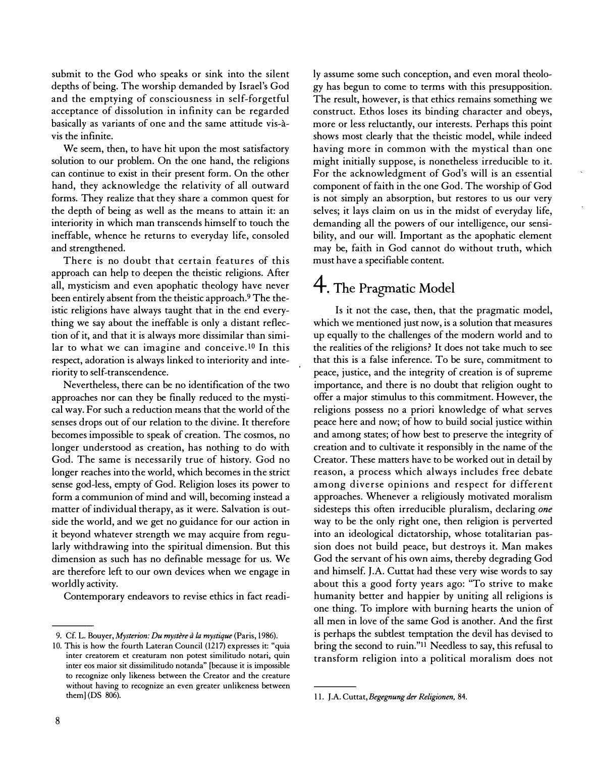submit to the God who speaks or sink into the silent depths of being. The worship demanded by Israel's God and the emptying of consciousness in self-forgetful acceptance of dissolution in infinity can be regarded basically as variants of one and the same attitude vis-avis the infinite.

We seem, then, to have hit upon the most satisfactory solution to our problem. On the one hand, the religions can continue to exist in their present form. On the other hand, they acknowledge the relativity of all outward forms. They realize that they share a common quest for the depth of being as well as the means to attain it: an interiority in which man transcends himself to touch the ineffable, whence he returns to everyday life, consoled and strengthened.

There is no doubt that certain features of this approach can help to deepen the theistic religions. After all, mysticism and even apophatic theology have never been entirely absent from the theistic approach.9 The theistic religions have always taught that in the end everything we say about the ineffable is only a distant reflection of it, and that it is always more dissimilar than similar to what we can imagine and conceive.<sup>10</sup> In this respect, adoration is always linked to interiority and interiority to self-transcendence.

Nevertheless, there can be no identification of the two approaches nor can they be finally reduced to the mystical way. For such a reduction means that the world of the senses drops out of our relation to the divine. It therefore becomes impossible to speak of creation. The cosmos, no longer understood as creation, has nothing to do with God. The same is necessarily true of history. God no longer reaches into the world, which becomes in the strict sense god-less, empty of God. Religion loses its power to form a communion of mind and will, becoming instead a matter of individual therapy, as it were. Salvation is outside the world, and we get no guidance for our action in it beyond whatever strength we may acquire from regularly withdrawing into the spiritual dimension. But this dimension as such has no definable message for us. We are therefore left to our own devices when we engage in worldly activity.

Contemporary endeavors to revise ethics in fact readi-

ly assume some such conception, and even moral theology has begun to come to terms with this presupposition. The result, however, is that ethics remains something we construct. Ethos loses its binding character and obeys, more or less reluctantly, our interests. Perhaps this point shows most clearly that the theistic model, while indeed having more in common with the mystical than one might initially suppose, is nonetheless irreducible to it. For the acknowledgment of God's will is an essential component of faith in the one God. The worship of God is not simply an absorption, but restores to us our very selves; it lays claim on us in the midst of everyday life, demanding all the powers of our intelligence, our sensibility, and our will. Important as the apophatic element may be, faith in God cannot do without truth, which must have a specifiable content.

## 4. The Pragmatic Model

Is it not the case, then, that the pragmatic model, which we mentioned just now, is a solution that measures up equally to the challenges of the modern world and to the realities of the religions? It does not take much to see that this is a false inference. To be sure, commitment to peace, justice, and the integrity of creation is of supreme importance, and there is no doubt that religion ought to offer a major stimulus to this commitment. However, the religions possess no a priori knowledge of what serves peace here and now; of how to build social justice within and among states; of how best to preserve the integrity of creation and to cultivate it responsibly in the name of the Creator. These matters have to be worked out in detail by reason, a process which always includes free debate among diverse opinions and respect for different approaches. Whenever a religiously motivated moralism sidesteps this often irreducible pluralism, declaring one way to be the only right one, then religion is perverted into an ideological dictatorship, whose totalitarian passion does not build peace, but destroys it. Man makes God the servant of his own aims, thereby degrading God and himself. J.A. Cuttat had these very wise words to say about this a good forty years ago: "To strive to make humanity better and happier by uniting all religions is one thing. To implore with burning hearts the union of all men in love of the same God is another. And the first is perhaps the subtlest temptation the devil has devised to bring the second to ruin."<sup>11</sup> Needless to say, this refusal to transform religion into a political moralism does not

<sup>9.</sup> Cf. L. Bouyer, Mysterion: Du mystère à la mystique (Paris, 1986).

<sup>10.</sup> This is how the fourth Lateran Council (1217) expresses it: "quia inter creatorem et creaturam non potest similitudo notari, quin inter eos maior sit dissimilitudo notanda" [because it is impossible to recognize only likeness between the Creator and the creature without having to recognize an even greater unlikeness between them] (DS 806).

<sup>11.</sup> J.A. Cuttat, Begegnung der Religionen, 84.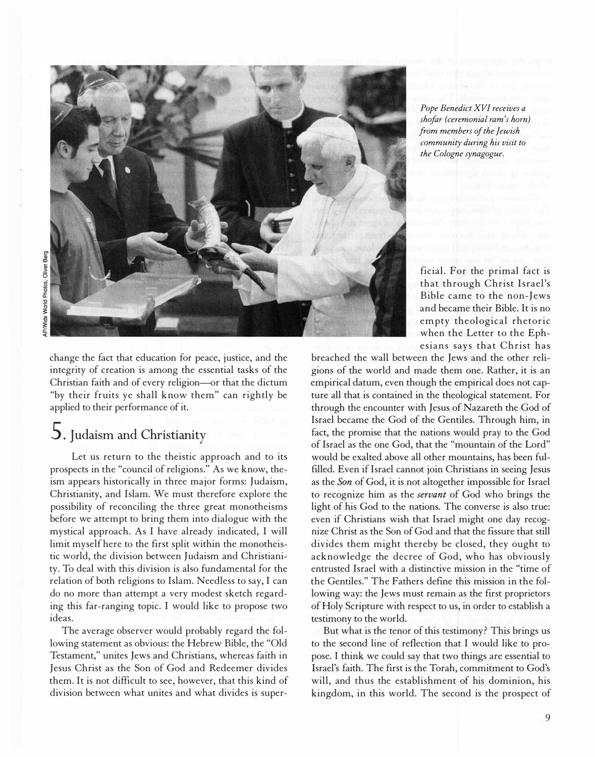

change the fact that education for peace, justice, and the integrity of creation is among the essential tasks of the Christian faith and of every religion-or that the dictum "by their fruits ye shall know them" can rightly be applied to their performance of it.

## 5. Judaism and Christianity

Let us return to the theistic approach and to its prospects in the "council of religions." As we know, theism appears historically in three major forms: Judaism, Christianity, and Islam. We must therefore explore the possibility of reconciling the three great monotheisms before we attempt to bring them into dialogue with the mystical approach. As I have already indicated, I will limit myself here to the first split within the monotheistic world, the division between Judaism and Christianity. To deal with this division is also fundamental for the relation of both religions to Islam. Needless to say, I can do no more than attempt a very modest sketch regarding this far-ranging topic. I would like to propose two ideas.

The average observer would probably regard the following statement as obvious: the Hebrew Bible, the "Old Testament," unites Jews and Christians, whereas faith in Jesus Christ as the Son of God and Redeemer divides them. It is not difficult to see, however, that this kind of division between what unites and what divides is super-

Pope Benedict XVI receives a shofar (ceremonial ram's horn) from members of the Jewish community during his visit to the Cologne synagogue.

ficial. For the primal fact is that through Christ Israel's Bible came to the non-Jews and became their Bible. It is no empty theological rhetoric when the Letter to the Ephesians says that Christ has

breached the wall between the Jews and the other religions of the world and made them one. Rather, it is an empirical datum, even though the empirical does not capture all that is contained in the theological statement. For through the encounter with Jesus of Nazareth the God of Israel became the God of the Gentiles. Through him, in fact, the promise that the nations would pray to the God of Israel as the one God, that the "mountain of the Lord" would be exalted above all other mountains, has been fulfilled. Even if Israel cannot join Christians in seeing Jesus as the Son of God, it is not altogether impossible for Israel to recognize him as the servant of God who brings the light of his God to the nations. The converse is also true: even if Christians wish that Israel might one day recognize Christ as the Son of God and that the fissure that still divides them might thereby be closed, they ought to acknowledge the decree of God, who has obviously entrusted Israel with a distinctive mission in the "time of the Gentiles." The Fathers define this mission in the following way: the Jews must remain as the first proprietors of Holy Scripture with respect to us, in order to establish a testimony to the world.

But what is the tenor of this testimony? This brings us to the second line of reflection that I would like to propose. I think we could say that two things are essential to Israel's faith. The first is the Torah, commitment to God's will, and thus the establishment of his dominion, his kingdom, in this world. The second is the prospect of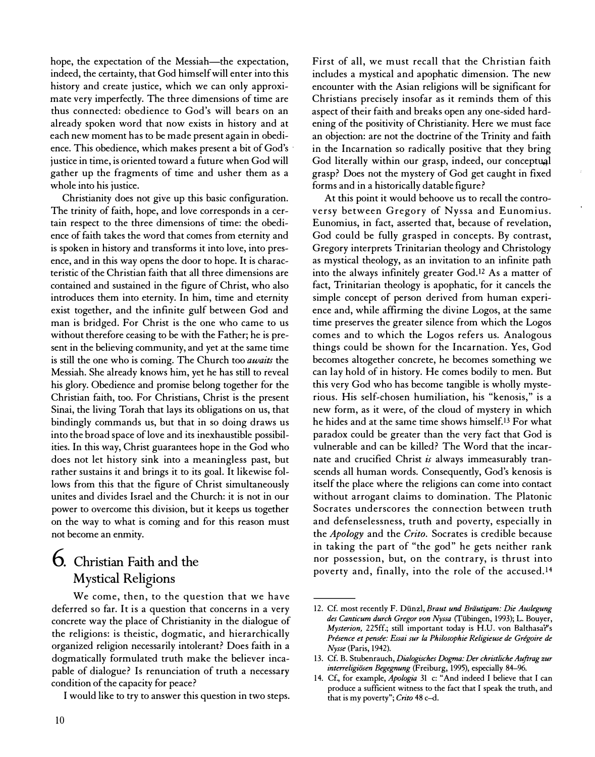hope, the expectation of the Messiah-the expectation, indeed, the certainty, that God himself will enter into this history and create justice, which we can only approximate very imperfectly. The three dimensions of time are thus connected: obedience to God's will bears on an already spoken word that now exists in history and at each new moment has to be made present again in obedience. This obedience, which makes present a bit of God's . justice in time, is oriented toward a future when God will gather up the fragments of time and usher them as a whole into his justice.

Christianity does not give up this basic configuration. The trinity of faith, hope, and love corresponds in a certain respect to the three dimensions of time: the obedience of faith takes the word that comes from eternity and is spoken in history and transforms it into love, into presence, and in this way opens the door to hope. It is characteristic of the Christian faith that all three dimensions are contained and sustained in the figure of Christ, who also introduces them into eternity. In him, time and eternity exist together, and the infinite gulf between God and man is bridged. For Christ is the one who came to us without therefore ceasing to be with the Father; he is present in the believing community, and yet at the same time is still the one who is coming. The Church too awaits the Messiah. She already knows him, yet he has still to reveal his glory. Obedience and promise belong together for the Christian faith, too. For Christians, Christ is the present Sinai, the living Torah that lays its obligations on us, that bindingly commands us, but that in so doing draws us into the broad space of love and its inexhaustible possibilities. In this way, Christ guarantees hope in the God who does not let history sink into a meaningless past, but rather sustains it and brings it to its goal. It likewise follows from this that the figure of Christ simultaneously unites and divides Israel and the Church: it is not in our power to overcome this division, but it keeps us together on the way to what is coming and for this reason must not become an enmity.

### 6. Christian Faith and the Mystical Religions

We come, then, to the question that we have deferred so far. It is a question that concerns in a very concrete way the place of Christianity in the dialogue of the religions: is theistic, dogmatic, and hierarchically organized religion necessarily intolerant? Does faith in a dogmatically formulated truth make the believer incapable of dialogue? Is renunciation of truth a necessary condition of the capacity for peace?

I would like to try to answer this question in two steps.

First of all, we must recall that the Christian faith includes a mystical and apophatic dimension. The new encounter with the Asian religions will be significant for Christians precisely insofar as it reminds them of this aspect of their faith and breaks open any one-sided hardening of the positivity of Christianity. Here we must face an objection: are not the doctrine of the Trinity and faith in the Incarnation so radically positive that they bring God literally within our grasp, indeed, our conceptual grasp? Does not the mystery of God get caught in fixed forms and in a historically datable figure?

At this point it would behoove us to recall the controversy between Gregory of Nyssa and Eunomius. Eunomius, in fact, asserted that, because of revelation, God could be fully grasped in concepts. By contrast, Gregory interprets Trinitarian theology and Christology as mystical theology, as an invitation to an infinite path into the always infinitely greater God.I2 As a matter of fact, Trinitarian theology is apophatic, for it cancels the simple concept of person derived from human experience and, while affirming the divine Logos, at the same time preserves the greater silence from which the Logos comes and to which the Logos refers us. Analogous things could be shown for the Incarnation. Yes, God becomes altogether concrete, he becomes something we can lay hold of in history. He comes bodily to men. But this very God who has become tangible is wholly mysterious. His self-chosen humiliation, his "kenosis," is a new form, as it were, of the cloud of mystery in which he hides and at the same time shows himself.I3 For what paradox could be greater than the very fact that God is vulnerable and can be killed? The Word that the incarnate and crucified Christ  $i\bar{s}$  always immeasurably transcends all human words. Consequently, God's kenosis is itself the place where the religions can come into contact without arrogant claims to domination. The Platonic Socrates underscores the connection between truth and defenselessness, truth and poverty, especially in the Apology and the Crito. Socrates is credible because in taking the part of "the god" he gets neither rank nor possession, but, on the contrary, is thrust into poverty and, finally, into the role of the accused.14

<sup>12.</sup> Cf. most recently F. Dünzl, Braut und Bräutigam: Die Auslegung des Canticum durch Gregor von Nyssa (Tiibingen, 1993); L. Bouyer, Mysterion, 225ff.; still important today is H.U. von Balthasai''s Présence et pensée: Essai sur la Philosophie Religieuse de Grégoire de Nysse (Paris, 1942).

<sup>13.</sup> Cf. B. Stubenrauch, Dialogisches Dogma: Der christliche Auftrag zur interreligiösen Begegnung (Freiburg, 1995), especially 84-96.

<sup>14.</sup> Cf., for example, *Apologia* 31 c: "And indeed I believe that I can produce a sufficient witness to the fact that I speak the truth, and that is my poverty"; Crito 48 c-d.